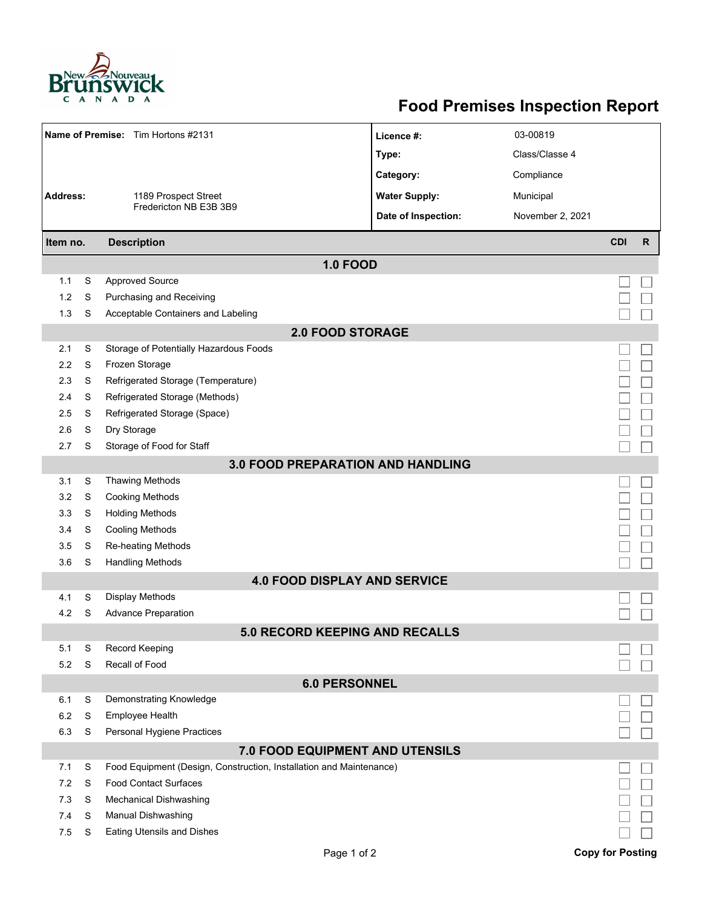

## **Food Premises Inspection Report**

| Name of Premise: Tim Hortons #2131       |                                |                                                                     | Licence #:           | 03-00819         |                         |              |  |  |  |  |
|------------------------------------------|--------------------------------|---------------------------------------------------------------------|----------------------|------------------|-------------------------|--------------|--|--|--|--|
|                                          |                                |                                                                     | Type:                | Class/Classe 4   |                         |              |  |  |  |  |
|                                          |                                |                                                                     | Category:            | Compliance       |                         |              |  |  |  |  |
| <b>Address:</b><br>1189 Prospect Street  |                                |                                                                     | <b>Water Supply:</b> | Municipal        |                         |              |  |  |  |  |
|                                          |                                | Fredericton NB E3B 3B9                                              | Date of Inspection:  | November 2, 2021 |                         |              |  |  |  |  |
|                                          |                                |                                                                     |                      |                  | <b>CDI</b>              | $\mathsf{R}$ |  |  |  |  |
|                                          | <b>Description</b><br>Item no. |                                                                     |                      |                  |                         |              |  |  |  |  |
|                                          |                                | <b>1.0 FOOD</b>                                                     |                      |                  |                         |              |  |  |  |  |
| 1.1                                      | S                              | <b>Approved Source</b>                                              |                      |                  |                         |              |  |  |  |  |
| 1.2                                      | S                              | Purchasing and Receiving                                            |                      |                  |                         |              |  |  |  |  |
| 1.3                                      | S                              | Acceptable Containers and Labeling                                  |                      |                  |                         |              |  |  |  |  |
|                                          |                                | <b>2.0 FOOD STORAGE</b>                                             |                      |                  |                         |              |  |  |  |  |
| 2.1                                      | S                              | Storage of Potentially Hazardous Foods                              |                      |                  |                         |              |  |  |  |  |
| 2.2                                      | S                              | Frozen Storage                                                      |                      |                  |                         |              |  |  |  |  |
| 2.3                                      | S                              | Refrigerated Storage (Temperature)                                  |                      |                  |                         |              |  |  |  |  |
| 2.4                                      | S                              | Refrigerated Storage (Methods)                                      |                      |                  |                         |              |  |  |  |  |
| 2.5                                      | S                              | Refrigerated Storage (Space)                                        |                      |                  |                         |              |  |  |  |  |
| 2.6                                      | S                              | Dry Storage                                                         |                      |                  |                         |              |  |  |  |  |
| 2.7                                      | S                              | Storage of Food for Staff                                           |                      |                  |                         |              |  |  |  |  |
| <b>3.0 FOOD PREPARATION AND HANDLING</b> |                                |                                                                     |                      |                  |                         |              |  |  |  |  |
| 3.1                                      | S                              | <b>Thawing Methods</b>                                              |                      |                  |                         |              |  |  |  |  |
| 3.2                                      | S                              | <b>Cooking Methods</b>                                              |                      |                  |                         |              |  |  |  |  |
| 3.3                                      | S                              | <b>Holding Methods</b>                                              |                      |                  |                         |              |  |  |  |  |
| 3.4                                      | S                              | <b>Cooling Methods</b>                                              |                      |                  |                         |              |  |  |  |  |
| 3.5                                      | S                              | Re-heating Methods                                                  |                      |                  |                         |              |  |  |  |  |
| 3.6                                      | S                              | <b>Handling Methods</b>                                             |                      |                  |                         |              |  |  |  |  |
|                                          |                                | <b>4.0 FOOD DISPLAY AND SERVICE</b>                                 |                      |                  |                         |              |  |  |  |  |
| 4.1                                      | S                              | Display Methods                                                     |                      |                  |                         |              |  |  |  |  |
| 4.2                                      | S                              | <b>Advance Preparation</b>                                          |                      |                  |                         |              |  |  |  |  |
|                                          |                                | <b>5.0 RECORD KEEPING AND RECALLS</b>                               |                      |                  |                         |              |  |  |  |  |
| 5.1                                      | S                              | Record Keeping                                                      |                      |                  |                         |              |  |  |  |  |
| 5.2                                      | S                              | Recall of Food                                                      |                      |                  |                         |              |  |  |  |  |
| <b>6.0 PERSONNEL</b>                     |                                |                                                                     |                      |                  |                         |              |  |  |  |  |
| 6.1                                      | S                              | Demonstrating Knowledge                                             |                      |                  |                         |              |  |  |  |  |
| 6.2                                      | S                              | Employee Health                                                     |                      |                  |                         |              |  |  |  |  |
| 6.3                                      | S                              | Personal Hygiene Practices                                          |                      |                  |                         |              |  |  |  |  |
| 7.0 FOOD EQUIPMENT AND UTENSILS          |                                |                                                                     |                      |                  |                         |              |  |  |  |  |
| 7.1                                      | S                              | Food Equipment (Design, Construction, Installation and Maintenance) |                      |                  |                         |              |  |  |  |  |
| 7.2                                      | S                              | <b>Food Contact Surfaces</b>                                        |                      |                  |                         |              |  |  |  |  |
| 7.3                                      | S                              | <b>Mechanical Dishwashing</b>                                       |                      |                  |                         |              |  |  |  |  |
| 7.4                                      | S                              | Manual Dishwashing                                                  |                      |                  |                         |              |  |  |  |  |
| 7.5                                      | S                              | <b>Eating Utensils and Dishes</b>                                   |                      |                  |                         |              |  |  |  |  |
|                                          |                                | Page 1 of 2                                                         |                      |                  | <b>Copy for Posting</b> |              |  |  |  |  |